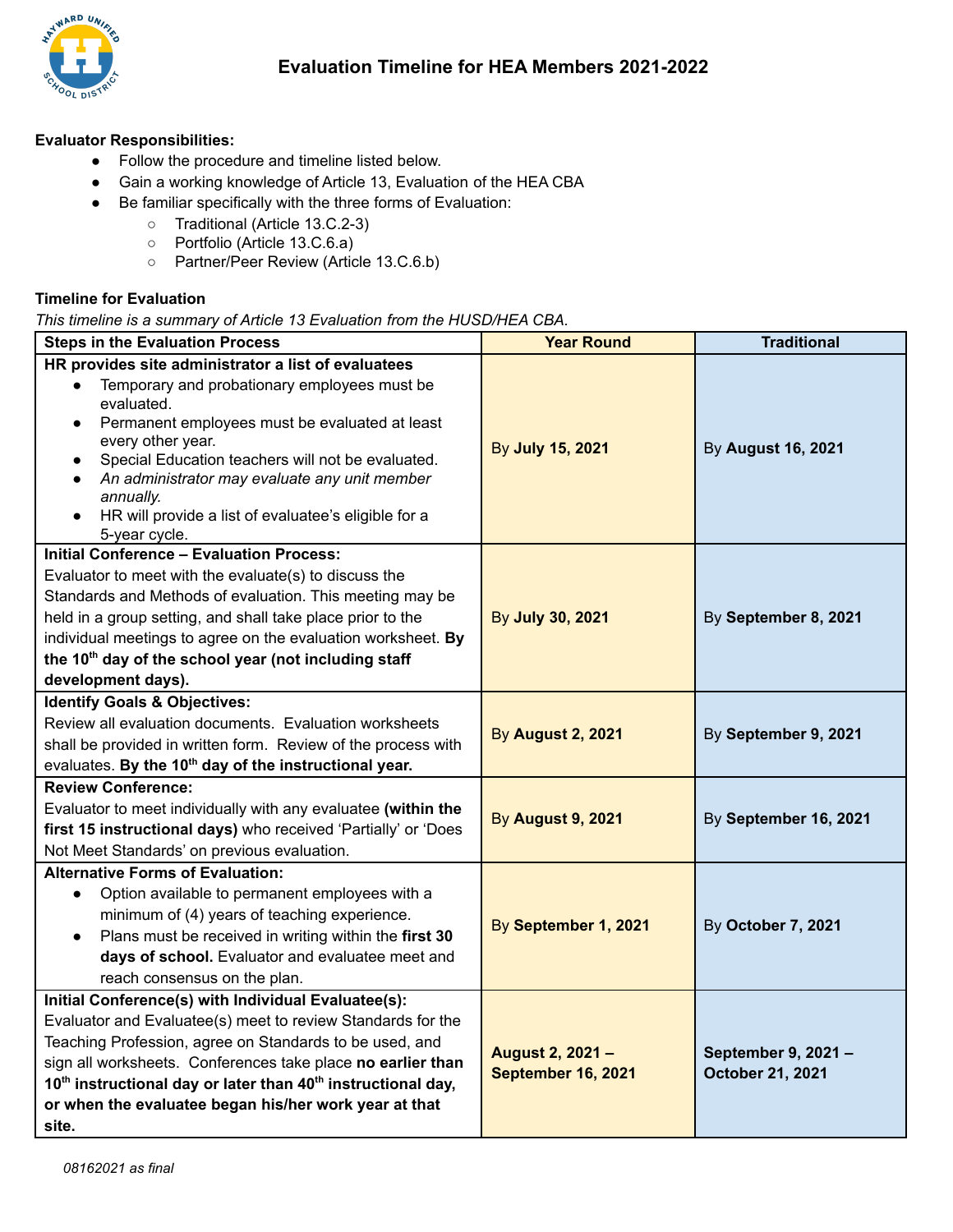

## **Evaluator Responsibilities:**

- Follow the procedure and timeline listed below.
- Gain a working knowledge of Article 13, Evaluation of the HEA CBA
- Be familiar specifically with the three forms of Evaluation:
	- Traditional (Article 13.C.2-3)
	- Portfolio (Article 13.C.6.a)
	- Partner/Peer Review (Article 13.C.6.b)

## **Timeline for Evaluation**

*This timeline is a summary of Article 13 Evaluation from the HUSD/HEA CBA.*

| <b>Steps in the Evaluation Process</b>                                                                                                                                                                                                                                                                                                                                                                                      | <b>Year Round</b>                      | <b>Traditional</b>                      |
|-----------------------------------------------------------------------------------------------------------------------------------------------------------------------------------------------------------------------------------------------------------------------------------------------------------------------------------------------------------------------------------------------------------------------------|----------------------------------------|-----------------------------------------|
| HR provides site administrator a list of evaluatees<br>Temporary and probationary employees must be<br>evaluated.<br>Permanent employees must be evaluated at least<br>$\bullet$<br>every other year.<br>Special Education teachers will not be evaluated.<br>An administrator may evaluate any unit member<br>$\bullet$<br>annually.<br>HR will provide a list of evaluatee's eligible for a<br>$\bullet$<br>5-year cycle. | By July 15, 2021                       | By August 16, 2021                      |
| <b>Initial Conference - Evaluation Process:</b><br>Evaluator to meet with the evaluate(s) to discuss the<br>Standards and Methods of evaluation. This meeting may be<br>held in a group setting, and shall take place prior to the<br>individual meetings to agree on the evaluation worksheet. By<br>the 10 <sup>th</sup> day of the school year (not including staff<br>development days).                                | By July 30, 2021                       | By September 8, 2021                    |
| <b>Identify Goals &amp; Objectives:</b><br>Review all evaluation documents. Evaluation worksheets<br>shall be provided in written form. Review of the process with<br>evaluates. By the 10 <sup>th</sup> day of the instructional year.                                                                                                                                                                                     | <b>By August 2, 2021</b>               | By September 9, 2021                    |
| <b>Review Conference:</b><br>Evaluator to meet individually with any evaluatee (within the<br>first 15 instructional days) who received 'Partially' or 'Does<br>Not Meet Standards' on previous evaluation.                                                                                                                                                                                                                 | <b>By August 9, 2021</b>               | By September 16, 2021                   |
| <b>Alternative Forms of Evaluation:</b><br>Option available to permanent employees with a<br>$\bullet$<br>minimum of (4) years of teaching experience.<br>Plans must be received in writing within the first 30<br>days of school. Evaluator and evaluatee meet and<br>reach consensus on the plan.                                                                                                                         | By September 1, 2021                   | By October 7, 2021                      |
| Initial Conference(s) with Individual Evaluatee(s):<br>Evaluator and Evaluatee(s) meet to review Standards for the<br>Teaching Profession, agree on Standards to be used, and<br>sign all worksheets. Conferences take place no earlier than<br>10 <sup>th</sup> instructional day or later than 40 <sup>th</sup> instructional day,<br>or when the evaluatee began his/her work year at that<br>site.                      | August 2, 2021 -<br>September 16, 2021 | September 9, 2021 -<br>October 21, 2021 |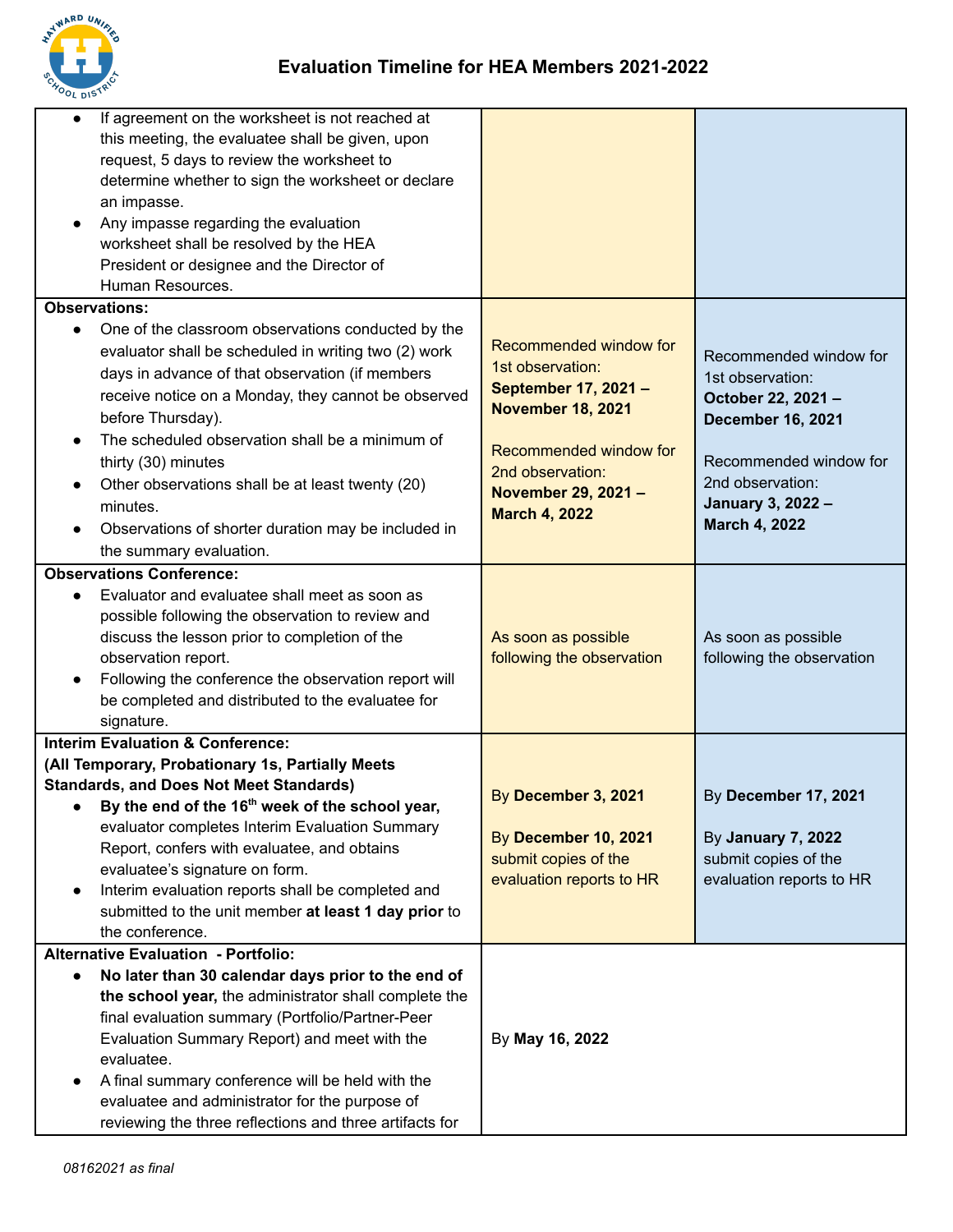

| $\bullet$<br>$\bullet$ | If agreement on the worksheet is not reached at<br>this meeting, the evaluatee shall be given, upon<br>request, 5 days to review the worksheet to<br>determine whether to sign the worksheet or declare<br>an impasse.<br>Any impasse regarding the evaluation<br>worksheet shall be resolved by the HEA<br>President or designee and the Director of<br>Human Resources.                                                                                             |                                                                                                                                                                                            |                                                                                                                                                                                        |
|------------------------|-----------------------------------------------------------------------------------------------------------------------------------------------------------------------------------------------------------------------------------------------------------------------------------------------------------------------------------------------------------------------------------------------------------------------------------------------------------------------|--------------------------------------------------------------------------------------------------------------------------------------------------------------------------------------------|----------------------------------------------------------------------------------------------------------------------------------------------------------------------------------------|
|                        | <b>Observations:</b>                                                                                                                                                                                                                                                                                                                                                                                                                                                  |                                                                                                                                                                                            |                                                                                                                                                                                        |
|                        | One of the classroom observations conducted by the<br>evaluator shall be scheduled in writing two (2) work<br>days in advance of that observation (if members<br>receive notice on a Monday, they cannot be observed<br>before Thursday).<br>The scheduled observation shall be a minimum of<br>thirty (30) minutes<br>Other observations shall be at least twenty (20)<br>minutes.<br>Observations of shorter duration may be included in<br>the summary evaluation. | Recommended window for<br>1st observation:<br>September 17, 2021 -<br><b>November 18, 2021</b><br>Recommended window for<br>2nd observation:<br>November 29, 2021-<br><b>March 4, 2022</b> | Recommended window for<br>1st observation:<br>October 22, 2021-<br><b>December 16, 2021</b><br>Recommended window for<br>2nd observation:<br>January 3, 2022 -<br><b>March 4, 2022</b> |
|                        | <b>Observations Conference:</b>                                                                                                                                                                                                                                                                                                                                                                                                                                       |                                                                                                                                                                                            |                                                                                                                                                                                        |
|                        | Evaluator and evaluatee shall meet as soon as<br>possible following the observation to review and<br>discuss the lesson prior to completion of the<br>observation report.<br>Following the conference the observation report will<br>be completed and distributed to the evaluatee for<br>signature.                                                                                                                                                                  | As soon as possible<br>following the observation                                                                                                                                           | As soon as possible<br>following the observation                                                                                                                                       |
|                        | <b>Interim Evaluation &amp; Conference:</b>                                                                                                                                                                                                                                                                                                                                                                                                                           |                                                                                                                                                                                            |                                                                                                                                                                                        |
|                        | (All Temporary, Probationary 1s, Partially Meets<br><b>Standards, and Does Not Meet Standards)</b><br>By the end of the 16 <sup>th</sup> week of the school year,<br>evaluator completes Interim Evaluation Summary<br>Report, confers with evaluatee, and obtains<br>evaluatee's signature on form.<br>Interim evaluation reports shall be completed and<br>submitted to the unit member at least 1 day prior to<br>the conference.                                  | By December 3, 2021<br>By December 10, 2021<br>submit copies of the<br>evaluation reports to HR                                                                                            | By December 17, 2021<br>By January 7, 2022<br>submit copies of the<br>evaluation reports to HR                                                                                         |
|                        | <b>Alternative Evaluation - Portfolio:</b>                                                                                                                                                                                                                                                                                                                                                                                                                            |                                                                                                                                                                                            |                                                                                                                                                                                        |
|                        | No later than 30 calendar days prior to the end of<br>the school year, the administrator shall complete the<br>final evaluation summary (Portfolio/Partner-Peer<br>Evaluation Summary Report) and meet with the<br>evaluatee.<br>A final summary conference will be held with the<br>evaluatee and administrator for the purpose of<br>reviewing the three reflections and three artifacts for                                                                        | By May 16, 2022                                                                                                                                                                            |                                                                                                                                                                                        |